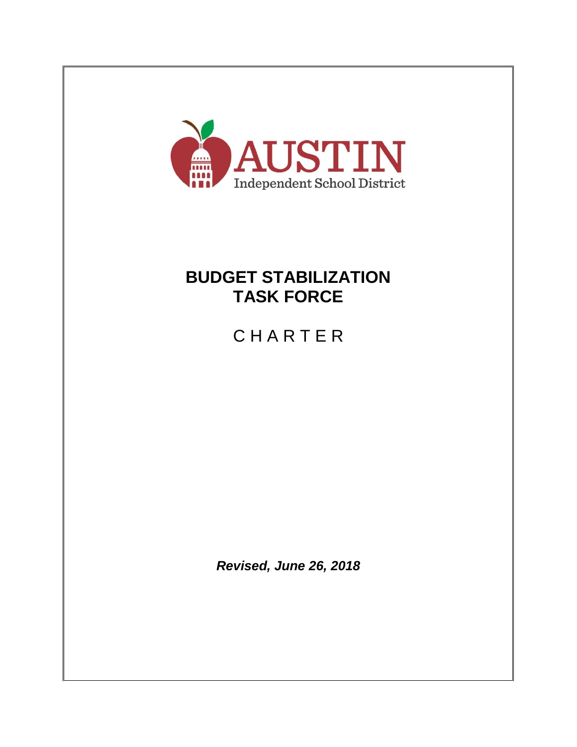

# **BUDGET STABILIZATION TASK FORCE**

**CHARTER** 

*Revised, June 26, 2018*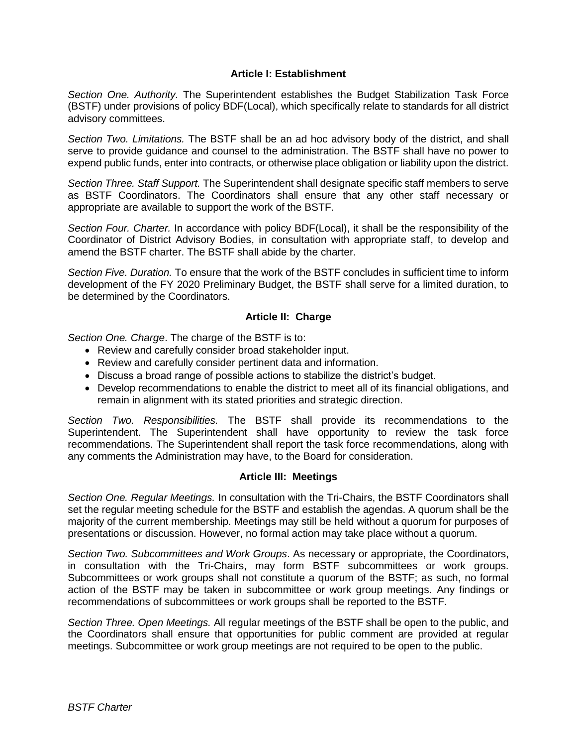#### **Article I: Establishment**

*Section One. Authority.* The Superintendent establishes the Budget Stabilization Task Force (BSTF) under provisions of policy BDF(Local), which specifically relate to standards for all district advisory committees.

*Section Two. Limitations.* The BSTF shall be an ad hoc advisory body of the district, and shall serve to provide guidance and counsel to the administration. The BSTF shall have no power to expend public funds, enter into contracts, or otherwise place obligation or liability upon the district.

*Section Three. Staff Support.* The Superintendent shall designate specific staff members to serve as BSTF Coordinators. The Coordinators shall ensure that any other staff necessary or appropriate are available to support the work of the BSTF.

*Section Four. Charter.* In accordance with policy BDF(Local), it shall be the responsibility of the Coordinator of District Advisory Bodies, in consultation with appropriate staff, to develop and amend the BSTF charter. The BSTF shall abide by the charter.

*Section Five. Duration.* To ensure that the work of the BSTF concludes in sufficient time to inform development of the FY 2020 Preliminary Budget, the BSTF shall serve for a limited duration, to be determined by the Coordinators.

### **Article II: Charge**

*Section One. Charge*. The charge of the BSTF is to:

- Review and carefully consider broad stakeholder input.
- Review and carefully consider pertinent data and information.
- Discuss a broad range of possible actions to stabilize the district's budget.
- Develop recommendations to enable the district to meet all of its financial obligations, and remain in alignment with its stated priorities and strategic direction.

*Section Two. Responsibilities.* The BSTF shall provide its recommendations to the Superintendent. The Superintendent shall have opportunity to review the task force recommendations. The Superintendent shall report the task force recommendations, along with any comments the Administration may have, to the Board for consideration.

#### **Article III: Meetings**

*Section One. Regular Meetings.* In consultation with the Tri-Chairs, the BSTF Coordinators shall set the regular meeting schedule for the BSTF and establish the agendas. A quorum shall be the majority of the current membership. Meetings may still be held without a quorum for purposes of presentations or discussion. However, no formal action may take place without a quorum.

*Section Two. Subcommittees and Work Groups*. As necessary or appropriate, the Coordinators, in consultation with the Tri-Chairs, may form BSTF subcommittees or work groups. Subcommittees or work groups shall not constitute a quorum of the BSTF; as such, no formal action of the BSTF may be taken in subcommittee or work group meetings. Any findings or recommendations of subcommittees or work groups shall be reported to the BSTF.

*Section Three. Open Meetings.* All regular meetings of the BSTF shall be open to the public, and the Coordinators shall ensure that opportunities for public comment are provided at regular meetings. Subcommittee or work group meetings are not required to be open to the public.